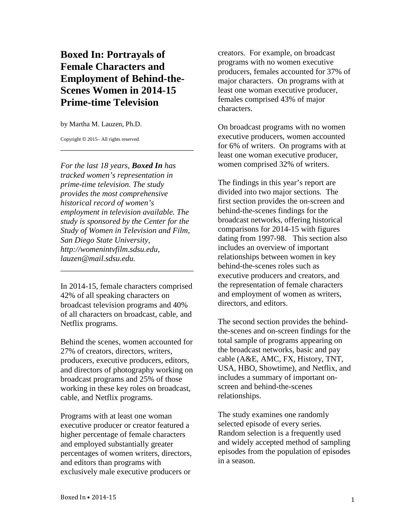# **Boxed In: Portrayals of Female Characters and Employment of Behind-the-Scenes Women in 2014-15 Prime-time Television**

by Martha M. Lauzen, Ph.D.

Copyright © 2015– All rights reserved.

*For the last 18 years, Boxed In has tracked women's representation in prime-time television. The study provides the most comprehensive historical record of women's employment in television available. The study is sponsored by the Center for the Study of Women in Television and Film, San Diego State University, http://womenintvfilm.sdsu.edu, lauzen@mail.sdsu.edu.*

\_\_\_\_\_\_\_\_\_\_\_\_\_\_\_\_\_\_\_\_\_\_\_\_\_\_\_\_\_\_\_\_\_

In 2014-15, female characters comprised 42% of all speaking characters on broadcast television programs and 40% of all characters on broadcast, cable, and Netflix programs.

\_\_\_\_\_\_\_\_\_\_\_\_\_\_\_\_\_\_\_\_\_\_\_\_\_\_\_\_\_\_\_\_\_

Behind the scenes, women accounted for 27% of creators, directors, writers, producers, executive producers, editors, and directors of photography working on broadcast programs and 25% of those working in these key roles on broadcast, cable, and Netflix programs.

Programs with at least one woman executive producer or creator featured a higher percentage of female characters and employed substantially greater percentages of women writers, directors, and editors than programs with exclusively male executive producers or

creators. For example, on broadcast programs with no women executive producers, females accounted for 37% of major characters. On programs with at least one woman executive producer, females comprised 43% of major characters.

On broadcast programs with no women executive producers, women accounted for 6% of writers. On programs with at least one woman executive producer, women comprised 32% of writers.

The findings in this year's report are divided into two major sections. The first section provides the on-screen and behind-the-scenes findings for the broadcast networks, offering historical comparisons for 2014-15 with figures dating from 1997-98. This section also includes an overview of important relationships between women in key behind-the-scenes roles such as executive producers and creators, and the representation of female characters and employment of women as writers, directors, and editors.

The second section provides the behindthe-scenes and on-screen findings for the total sample of programs appearing on the broadcast networks, basic and pay cable (A&E, AMC, FX, History, TNT, USA, HBO, Showtime), and Netflix, and includes a summary of important onscreen and behind-the-scenes relationships.

The study examines one randomly selected episode of every series. Random selection is a frequently used and widely accepted method of sampling episodes from the population of episodes in a season.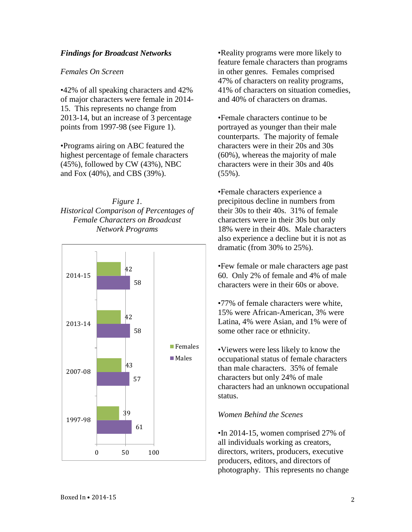### *Findings for Broadcast Networks*

### *Females On Screen*

•42% of all speaking characters and 42% of major characters were female in 2014- 15. This represents no change from 2013-14, but an increase of 3 percentage points from 1997-98 (see Figure 1).

•Programs airing on ABC featured the highest percentage of female characters (45%), followed by CW (43%), NBC and Fox (40%), and CBS (39%).

## *Figure 1. Historical Comparison of Percentages of Female Characters on Broadcast Network Programs*



•Reality programs were more likely to feature female characters than programs in other genres. Females comprised 47% of characters on reality programs, 41% of characters on situation comedies, and 40% of characters on dramas.

•Female characters continue to be portrayed as younger than their male counterparts. The majority of female characters were in their 20s and 30s (60%), whereas the majority of male characters were in their 30s and 40s  $(55\%)$ .

•Female characters experience a precipitous decline in numbers from their 30s to their 40s. 31% of female characters were in their 30s but only 18% were in their 40s. Male characters also experience a decline but it is not as dramatic (from 30% to 25%).

•Few female or male characters age past 60. Only 2% of female and 4% of male characters were in their 60s or above.

•77% of female characters were white, 15% were African-American, 3% were Latina, 4% were Asian, and 1% were of some other race or ethnicity.

•Viewers were less likely to know the occupational status of female characters than male characters. 35% of female characters but only 24% of male characters had an unknown occupational status.

### *Women Behind the Scenes*

•In 2014-15, women comprised 27% of all individuals working as creators, directors, writers, producers, executive producers, editors, and directors of photography. This represents no change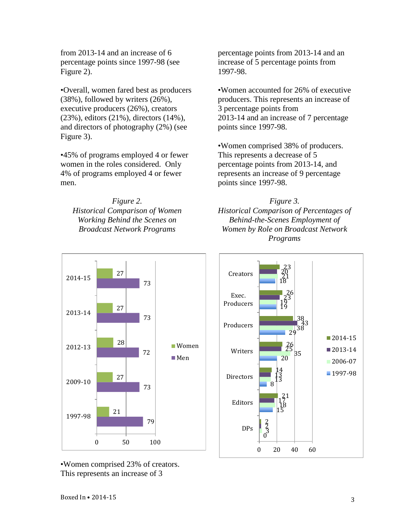from 2013-14 and an increase of 6 percentage points since 1997-98 (see Figure 2).

•Overall, women fared best as producers (38%), followed by writers (26%), executive producers (26%), creators (23%), editors (21%), directors (14%), and directors of photography (2%) (see Figure 3).

•45% of programs employed 4 or fewer women in the roles considered. Only 4% of programs employed 4 or fewer men.

*Figure 2. Historical Comparison of Women Working Behind the Scenes on Broadcast Network Programs*

percentage points from 2013-14 and an increase of 5 percentage points from 1997-98.

•Women accounted for 26% of executive producers. This represents an increase of 3 percentage points from 2013-14 and an increase of 7 percentage points since 1997-98.

•Women comprised 38% of producers. This represents a decrease of 5 percentage points from 2013-14, and represents an increase of 9 percentage points since 1997-98.

*Figure 3. Historical Comparison of Percentages of Behind-the-Scenes Employment of Women by Role on Broadcast Network Programs*





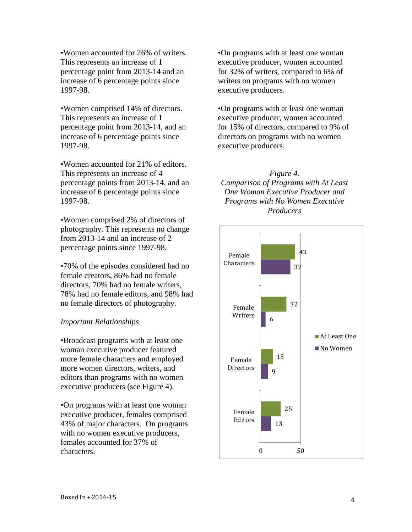•Women accounted for 26% of writers. This represents an increase of 1 percentage point from 2013-14 and an increase of 6 percentage points since 1997-98.

•Women comprised 14% of directors. This represents an increase of 1 percentage point from 2013-14, and an increase of 6 percentage points since 1997-98.

•Women accounted for 21% of editors. This represents an increase of 4 percentage points from 2013-14, and an increase of 6 percentage points since 1997-98.

•Women comprised 2% of directors of photography. This represents no change from 2013-14 and an increase of 2 percentage points since 1997-98.

•70% of the episodes considered had no female creators, 86% had no female directors, 70% had no female writers, 78% had no female editors, and 98% had no female directors of photography.

### *Important Relationships*

•Broadcast programs with at least one woman executive producer featured more female characters and employed more women directors, writers, and editors than programs with no women executive producers (see Figure 4).

•On programs with at least one woman executive producer, females comprised 43% of major characters. On programs with no women executive producers. females accounted for 37% of characters.

•On programs with at least one woman executive producer, women accounted for 32% of writers, compared to 6% of writers on programs with no women executive producers.

•On programs with at least one woman executive producer, women accounted for 15% of directors, compared to 9% of directors on programs with no women executive producers.

*Figure 4. Comparison of Programs with At Least One Woman Executive Producer and Programs with No Women Executive Producers*

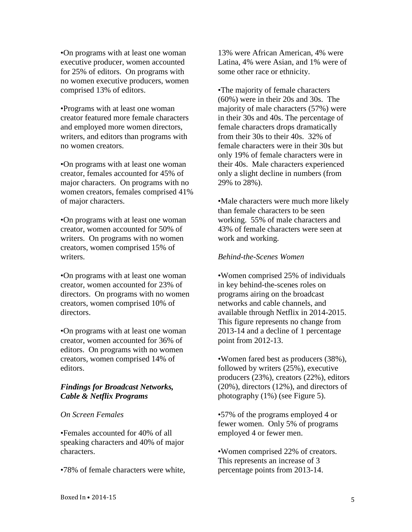•On programs with at least one woman executive producer, women accounted for 25% of editors. On programs with no women executive producers, women comprised 13% of editors.

•Programs with at least one woman creator featured more female characters and employed more women directors, writers, and editors than programs with no women creators.

•On programs with at least one woman creator, females accounted for 45% of major characters. On programs with no women creators, females comprised 41% of major characters.

•On programs with at least one woman creator, women accounted for 50% of writers. On programs with no women creators, women comprised 15% of writers.

•On programs with at least one woman creator, women accounted for 23% of directors. On programs with no women creators, women comprised 10% of directors.

•On programs with at least one woman creator, women accounted for 36% of editors. On programs with no women creators, women comprised 14% of editors.

### *Findings for Broadcast Networks, Cable & Netflix Programs*

#### *On Screen Females*

•Females accounted for 40% of all speaking characters and 40% of major characters.

•78% of female characters were white,

13% were African American, 4% were Latina, 4% were Asian, and 1% were of some other race or ethnicity.

•The majority of female characters (60%) were in their 20s and 30s. The majority of male characters (57%) were in their 30s and 40s. The percentage of female characters drops dramatically from their 30s to their 40s. 32% of female characters were in their 30s but only 19% of female characters were in their 40s. Male characters experienced only a slight decline in numbers (from 29% to 28%).

•Male characters were much more likely than female characters to be seen working. 55% of male characters and 43% of female characters were seen at work and working.

#### *Behind-the-Scenes Women*

•Women comprised 25% of individuals in key behind-the-scenes roles on programs airing on the broadcast networks and cable channels, and available through Netflix in 2014-2015. This figure represents no change from 2013-14 and a decline of 1 percentage point from 2012-13.

•Women fared best as producers (38%), followed by writers (25%), executive producers (23%), creators (22%), editors (20%), directors (12%), and directors of photography (1%) (see Figure 5).

•57% of the programs employed 4 or fewer women. Only 5% of programs employed 4 or fewer men.

•Women comprised 22% of creators. This represents an increase of 3 percentage points from 2013-14.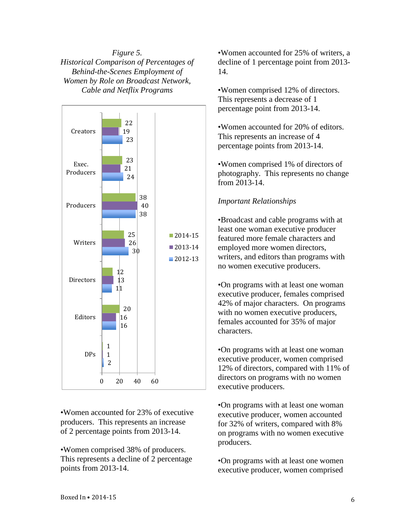*Figure 5. Historical Comparison of Percentages of Behind-the-Scenes Employment of Women by Role on Broadcast Network, Cable and Netflix Programs*



•Women accounted for 23% of executive producers. This represents an increase of 2 percentage points from 2013-14.

•Women comprised 38% of producers. This represents a decline of 2 percentage points from 2013-14.

•Women accounted for 25% of writers, a decline of 1 percentage point from 2013- 14.

•Women comprised 12% of directors. This represents a decrease of 1 percentage point from 2013-14.

•Women accounted for 20% of editors. This represents an increase of 4 percentage points from 2013-14.

•Women comprised 1% of directors of photography. This represents no change from 2013-14.

### *Important Relationships*

•Broadcast and cable programs with at least one woman executive producer featured more female characters and employed more women directors, writers, and editors than programs with no women executive producers.

•On programs with at least one woman executive producer, females comprised 42% of major characters. On programs with no women executive producers, females accounted for 35% of major characters.

•On programs with at least one woman executive producer, women comprised 12% of directors, compared with 11% of directors on programs with no women executive producers.

•On programs with at least one woman executive producer, women accounted for 32% of writers, compared with 8% on programs with no women executive producers.

•On programs with at least one women executive producer, women comprised